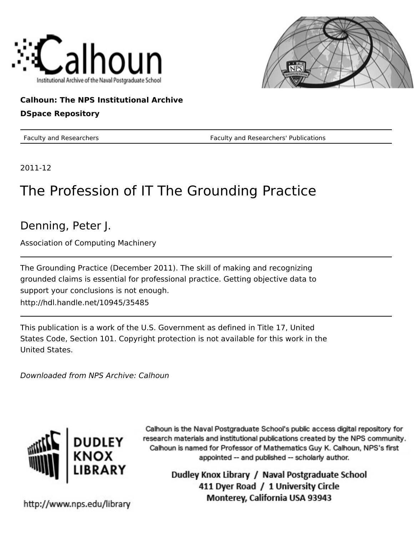



### **Calhoun: The NPS Institutional Archive**

#### **DSpace Repository**

Faculty and Researchers Faculty and Researchers' Publications

2011-12

## The Profession of IT The Grounding Practice

## Denning, Peter J.

Association of Computing Machinery

The Grounding Practice (December 2011). The skill of making and recognizing grounded claims is essential for professional practice. Getting objective data to support your conclusions is not enough. http://hdl.handle.net/10945/35485

This publication is a work of the U.S. Government as defined in Title 17, United States Code, Section 101. Copyright protection is not available for this work in the United States.

Downloaded from NPS Archive: Calhoun



Calhoun is the Naval Postgraduate School's public access digital repository for research materials and institutional publications created by the NPS community. Calhoun is named for Professor of Mathematics Guy K. Calhoun, NPS's first appointed -- and published -- scholarly author.

> Dudley Knox Library / Naval Postgraduate School 411 Dyer Road / 1 University Circle Monterey, California USA 93943

http://www.nps.edu/library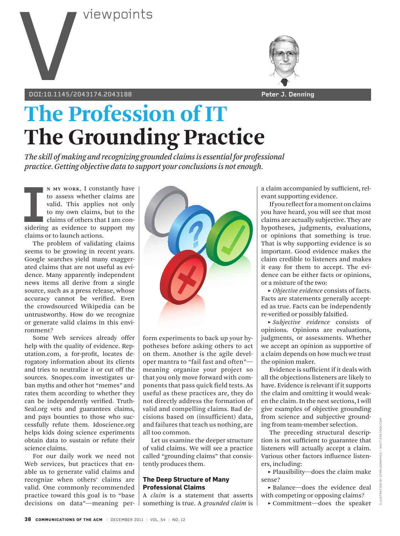

**doi:10.1145/2043174.2043188 Peter J. Denning** 



# **The Profession of IT The Grounding Practice**

*The skill of making and recognizing grounded claims is essential for professional practice. Getting objective data to support your conclusions is not enough.*

**II** MAY WORK, I constantly have<br>to assess whether claims are<br>valid. This applies not only<br>to my own claims, but to the<br>claims of others that I am con-<br>sidering as evidence to support my<br>alaims or to launch actions. **n my work**, I constantly have to assess whether claims are valid. This applies not only to my own claims, but to the claims of others that I am conclaims or to launch actions.

The problem of validating claims seems to be growing in recent years. Google searches yield many exaggerated claims that are not useful as evidence. Many apparently independent news items all derive from a single source, such as a press release, whose accuracy cannot be verified. Even the crowdsourced Wikipedia can be untrustworthy. How do we recognize or generate valid claims in this environment?

Some Web services already offer help with the quality of evidence. Reputation.com, a for-profit, locates derogatory information about its clients and tries to neutralize it or cut off the sources. Snopes.com investigates urban myths and other hot "memes" and rates them according to whether they can be independently verified. Truth-Seal.org vets and guarantees claims, and pays bounties to those who successfully refute them. Idoscience.org helps kids doing science experiments obtain data to sustain or refute their science claims.

For our daily work we need not Web services, but practices that enable us to generate valid claims and recognize when others' claims are valid. One commonly recommended practice toward this goal is to "base decisions on data"—meaning per-



form experiments to back up your hypotheses before asking others to act on them. Another is the agile developer mantra to "fail fast and often" meaning organize your project so that you only move forward with components that pass quick field tests. As useful as these practices are, they do not directly address the formation of valid and compelling claims. Bad decisions based on (insufficient) data, and failures that teach us nothing, are all too common.

Let us examine the deeper structure of valid claims. We will see a practice called "grounding claims" that consistently produces them.

#### **The Deep Structure of Many Professional Claims**

A *claim* is a statement that asserts something is true. A *grounded claim* is a claim accompanied by sufficient, relevant supporting evidence.

If you reflect for a moment on claims you have heard, you will see that most claims are actually subjective. They are hypotheses, judgments, evaluations, or opinions that something is true. That is why supporting evidence is so important. Good evidence makes the claim credible to listeners and makes it easy for them to accept. The evidence can be either facts or opinions, or a mixture of the two:

**˲** *Objective evidence* consists of facts. Facts are statements generally accepted as true. Facts can be independently re-verified or possibly falsified.

**˲** *Subjective evidence* consists of opinions. Opinions are evaluations, judgments, or assessments. Whether we accept an opinion as supportive of a claim depends on how much we trust the opinion maker.

Evidence is sufficient if it deals with all the objections listeners are likely to have. Evidence is relevant if it supports the claim and omitting it would weaken the claim. In the next sections, I will give examples of objective grounding from science and subjective grounding from team-member selection.

The preceding structural description is not sufficient to guarantee that listeners will actually accept a claim. Various other factors influence listeners, including:

**˲** Plausibility—does the claim make sense?

**˲** Balance—does the evidence deal with competing or opposing claims?

**˲** Commitment—does the speaker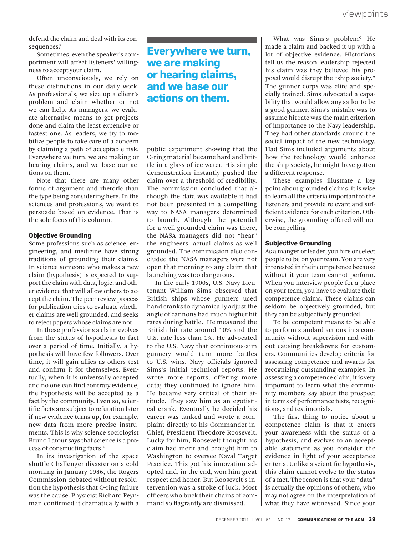defend the claim and deal with its consequences?

Sometimes, even the speaker's comportment will affect listeners' willingness to accept your claim.

Often unconsciously, we rely on these distinctions in our daily work. As professionals, we size up a client's problem and claim whether or not we can help. As managers, we evaluate alternative means to get projects done and claim the least expensive or fastest one. As leaders, we try to mobilize people to take care of a concern by claiming a path of acceptable risk. Everywhere we turn, we are making or hearing claims, and we base our actions on them.

Note that there are many other forms of argument and rhetoric than the type being considering here. In the sciences and professions, we want to persuade based on evidence. That is the sole focus of this column.

#### **Objective Grounding**

Some professions such as science, engineering, and medicine have strong traditions of grounding their claims. In science someone who makes a new claim (hypothesis) is expected to support the claim with data, logic, and other evidence that will allow others to accept the claim. The peer review process for publication tries to evaluate whether claims are well grounded, and seeks to reject papers whose claims are not.

In these professions a claim evolves from the status of hypothesis to fact over a period of time. Initially, a hypothesis will have few followers. Over time, it will gain allies as others test and confirm it for themselves. Eventually, when it is universally accepted and no one can find contrary evidence, the hypothesis will be accepted as a fact by the community. Even so, scientific facts are subject to refutation later if new evidence turns up, for example, new data from more precise instruments. This is why science sociologist Bruno Latour says that science is a process of constructing facts. 4

In its investigation of the space shuttle Challenger disaster on a cold morning in January 1986, the Rogers Commission debated without resolution the hypothesis that O-ring failure was the cause. Physicist Richard Feynman confirmed it dramatically with a

## **Everywhere we turn, we are making or hearing claims, and we base our actions on them.**

public experiment showing that the O-ring material became hard and brittle in a glass of ice water. His simple demonstration instantly pushed the claim over a threshold of credibility. The commission concluded that although the data was available it had not been presented in a compelling way to NASA managers determined to launch. Although the potential for a well-grounded claim was there, the NASA managers did not "hear" the engineers' actual claims as well grounded. The commission also concluded the NASA managers were not open that morning to any claim that launching was too dangerous.

In the early 1900s, U.S. Navy Lieutenant William Sims observed that British ships whose gunners used hand cranks to dynamically adjust the angle of cannons had much higher hit rates during battle.<sup>1</sup> He measured the British hit rate around 10% and the U.S. rate less than 1%. He advocated to the U.S. Navy that continuous-aim gunnery would turn more battles to U.S. wins. Navy officials ignored Sims's initial technical reports. He wrote more reports, offering more data; they continued to ignore him. He became very critical of their attitude. They saw him as an egotistical crank. Eventually he decided his career was tanked and wrote a complaint directly to his Commander-in-Chief, President Theodore Roosevelt. Lucky for him, Roosevelt thought his claim had merit and brought him to Washington to oversee Naval Target Practice. This got his innovation adopted and, in the end, won him great respect and honor. But Roosevelt's intervention was a stroke of luck. Most officers who buck their chains of command so flagrantly are dismissed.

We defend the claim and deal with its con-<br>
sequences?<br>
sequences:<br>
sequences:<br>
sequences:<br>
sequences:<br>
sequences:<br>
sequences:<br>
sequences:<br>
sequences:<br>
sequences:<br>
sequences:<br>
sequences:<br>
sequences:<br>
sequences:<br>
sequences: What was Sims's problem? He made a claim and backed it up with a lot of objective evidence. Historians tell us the reason leadership rejected his claim was they believed his proposal would disrupt the "ship society." The gunner corps was elite and specially trained. Sims advocated a capability that would allow any sailor to be a good gunner. Sims's mistake was to assume hit rate was the main criterion of importance to the Navy leadership. They had other standards around the social impact of the new technology. Had Sims included arguments about how the technology would enhance the ship society, he might have gotten a different response.

> These examples illustrate a key point about grounded claims. It is wise to learn all the criteria important to the listeners and provide relevant and sufficient evidence for each criterion. Otherwise, the grounding offered will not be compelling.

#### **Subjective Grounding**

As a manger or leader, you hire or select people to be on your team. You are very interested in their competence because without it your team cannot perform. When you interview people for a place on your team, you have to evaluate their competence claims. These claims can seldom be objectively grounded, but they can be subjectively grounded.

To be competent means to be able to perform standard actions in a community without supervision and without causing breakdowns for customers. Communities develop criteria for assessing competence and awards for recognizing outstanding examples. In assessing a competence claim, it is very important to learn what the community members say about the prospect in terms of performance tests, recognitions, and testimonials.

The first thing to notice about a competence claim is that it enters your awareness with the status of a hypothesis, and evolves to an acceptable statement as you consider the evidence in light of your acceptance criteria. Unlike a scientific hypothesis, this claim cannot evolve to the status of a fact. The reason is that your "data" is actually the opinions of others, who may not agree on the interpretation of what they have witnessed. Since your